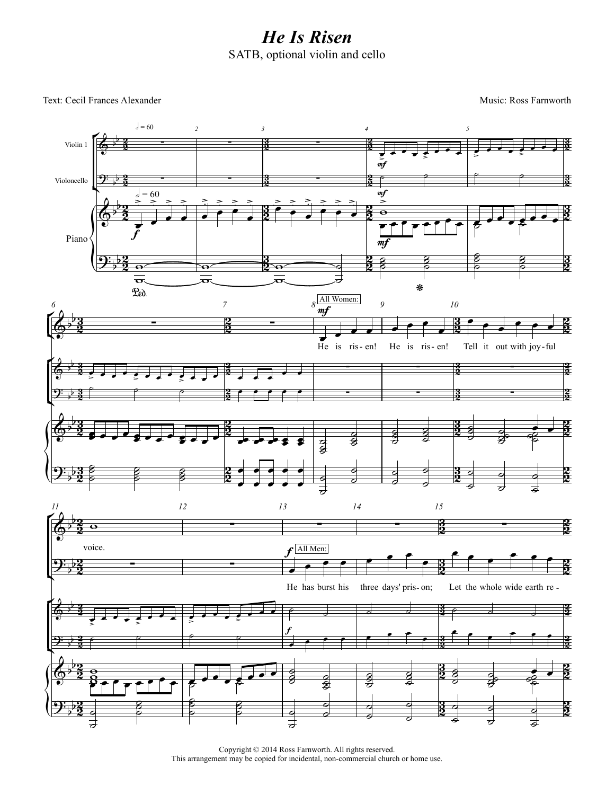## *He Is Risen* SATB, optional violin and cello

Text: Cecil Frances Alexander Music: Ross Farnworth



Copyright © 2014 Ross Farnworth. All rights reserved. This arrangement may be copied for incidental, non-commercial church or home use.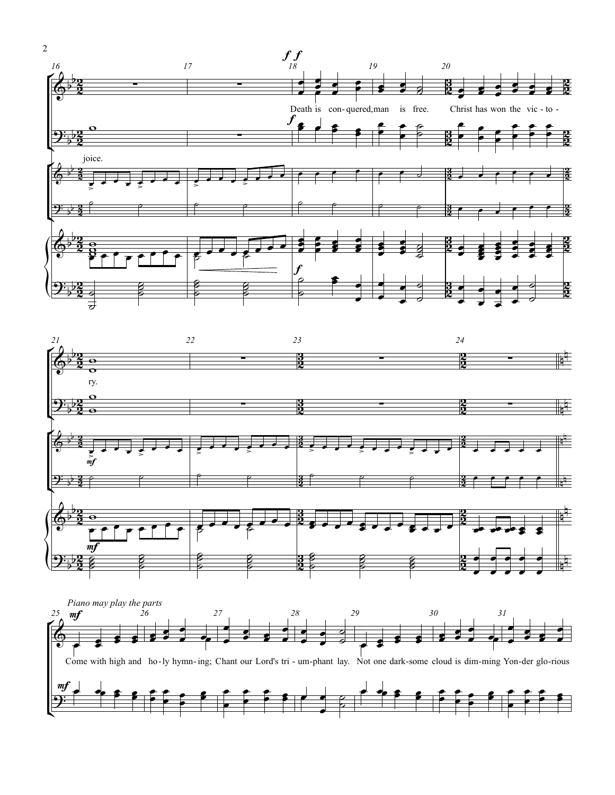



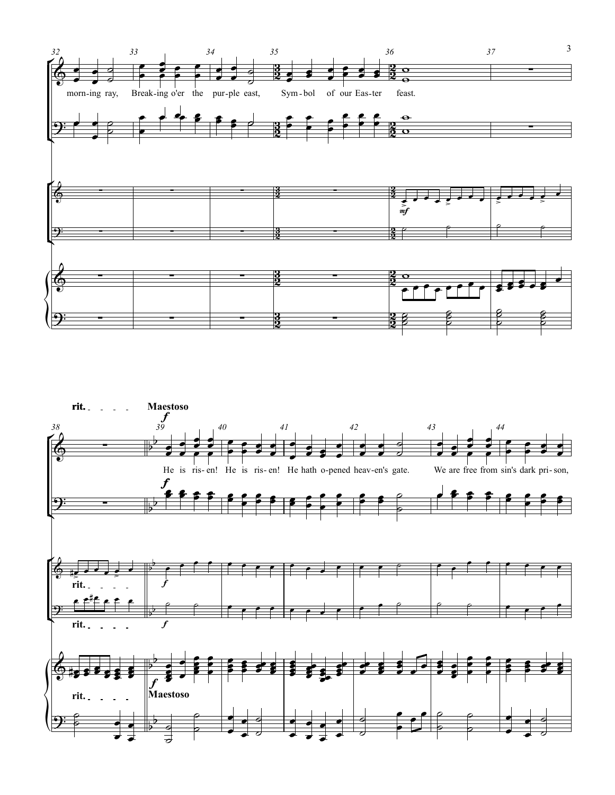

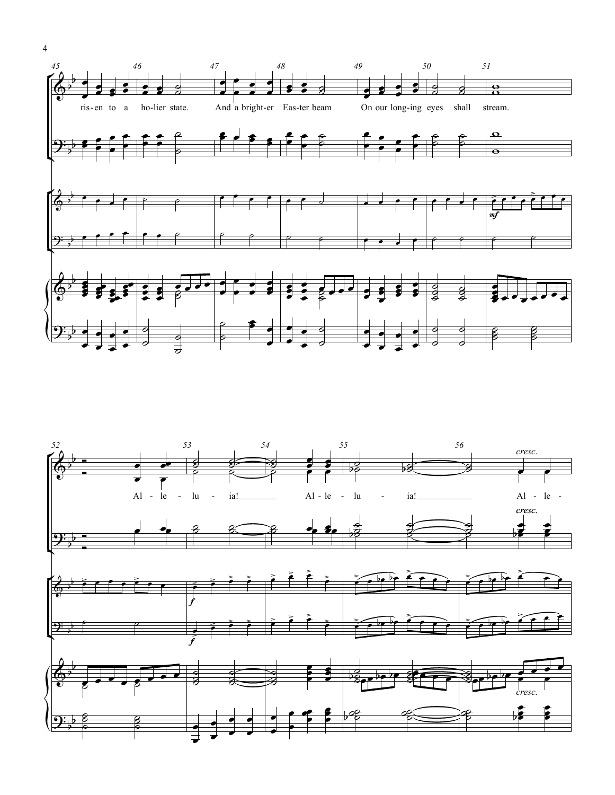



 $\overline{4}$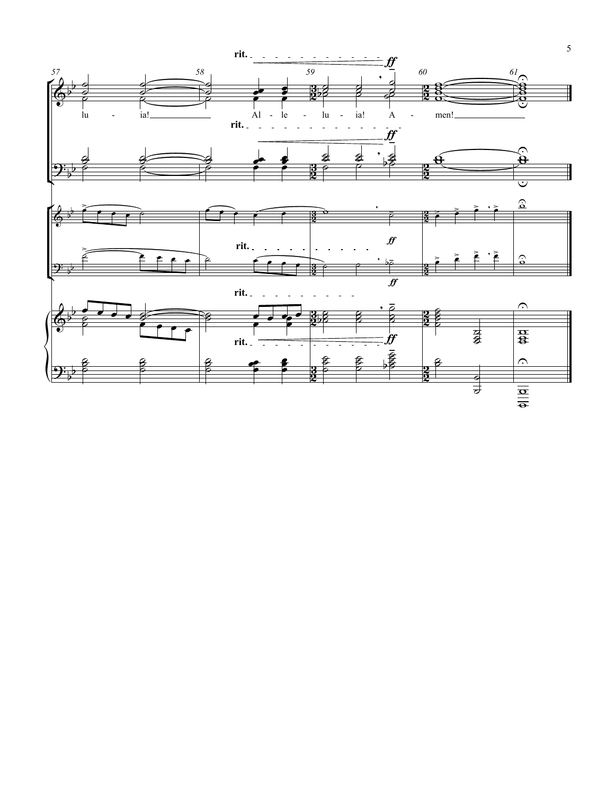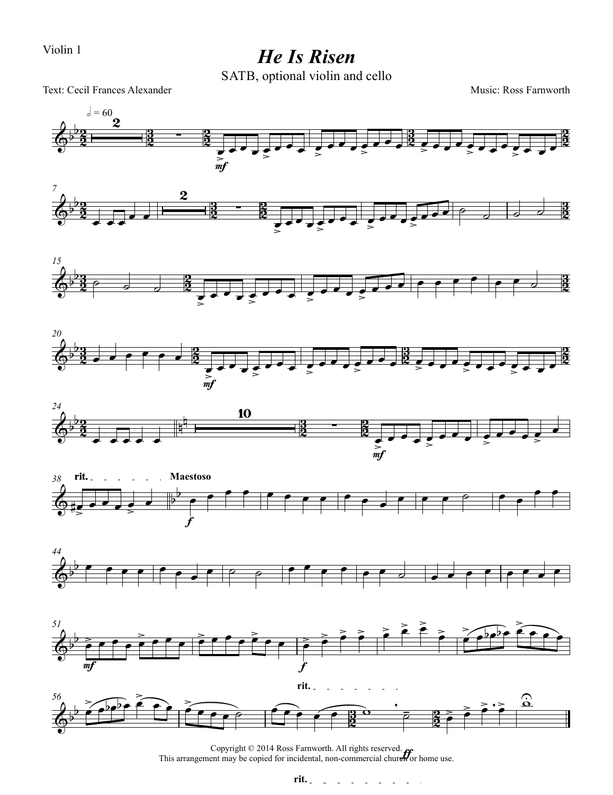Violin 1

*He Is Risen*

SATB, optional violin and cello



Copyright © 2014 Ross Farnworth. All rights reserved. This arrangement may be copied for incidental, non-commercial church or home use.

![](_page_5_Figure_7.jpeg)

 $\sim$  $\hat{\mathcal{A}}$